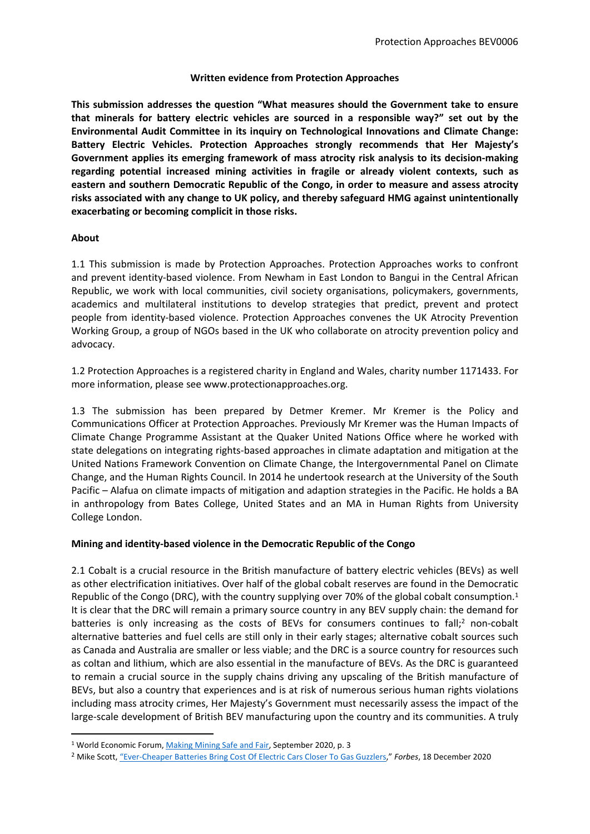## **Written evidence from Protection Approaches**

**This submission addresses the question "What measures should the Government take to ensure that minerals for battery electric vehicles are sourced in a responsible way?" set out by the Environmental Audit Committee in its inquiry on Technological Innovations and Climate Change: Battery Electric Vehicles. Protection Approaches strongly recommends that Her Majesty's Government applies its emerging framework of mass atrocity risk analysis to its decision-making regarding potential increased mining activities in fragile or already violent contexts, such as eastern and southern Democratic Republic of the Congo, in order to measure and assess atrocity risks associated with any change to UK policy, and thereby safeguard HMG against unintentionally exacerbating or becoming complicit in those risks.**

## **About**

1.1 This submission is made by Protection Approaches. Protection Approaches works to confront and prevent identity-based violence. From Newham in East London to Bangui in the Central African Republic, we work with local communities, civil society organisations, policymakers, governments, academics and multilateral institutions to develop strategies that predict, prevent and protect people from identity-based violence. Protection Approaches convenes the UK Atrocity Prevention Working Group, a group of NGOs based in the UK who collaborate on atrocity prevention policy and advocacy.

1.2 Protection Approaches is a registered charity in England and Wales, charity number 1171433. For more information, please see www.protectionapproaches.org.   

1.3 The submission has been prepared by Detmer Kremer. Mr Kremer is the Policy and Communications Officer at Protection Approaches. Previously Mr Kremer was the Human Impacts of Climate Change Programme Assistant at the Quaker United Nations Office where he worked with state delegations on integrating rights-based approaches in climate adaptation and mitigation at the United Nations Framework Convention on Climate Change, the Intergovernmental Panel on Climate Change, and the Human Rights Council. In 2014 he undertook research at the University of the South Pacific – Alafua on climate impacts of mitigation and adaption strategies in the Pacific. He holds a BA in anthropology from Bates College, United States and an MA in Human Rights from University College London.

## **Mining and identity-based violence in the Democratic Republic of the Congo**

2.1 Cobalt is a crucial resource in the British manufacture of battery electric vehicles (BEVs) as well as other electrification initiatives. Over half of the global cobalt reserves are found in the Democratic Republic of the Congo (DRC), with the country supplying over 70% of the global cobalt consumption.<sup>1</sup> It is clear that the DRC will remain a primary source country in any BEV supply chain: the demand for batteries is only increasing as the costs of BEVs for consumers continues to fall; $^2$  non-cobalt alternative batteries and fuel cells are still only in their early stages; alternative cobalt sources such as Canada and Australia are smaller or less viable; and the DRC is a source country for resources such as coltan and lithium, which are also essential in the manufacture of BEVs. As the DRC is guaranteed to remain a crucial source in the supply chains driving any upscaling of the British manufacture of BEVs, but also a country that experiences and is at risk of numerous serious human rights violations including mass atrocity crimes, Her Majesty's Government must necessarily assess the impact of the large-scale development of British BEV manufacturing upon the country and its communities. A truly

<sup>1</sup> World Economic Forum, [Making](http://www3.weforum.org/docs/WEF_Making_Mining_Safe_2020.pdf) [Mining](http://www3.weforum.org/docs/WEF_Making_Mining_Safe_2020.pdf) [Safe](http://www3.weforum.org/docs/WEF_Making_Mining_Safe_2020.pdf) [and](http://www3.weforum.org/docs/WEF_Making_Mining_Safe_2020.pdf) [Fair](http://www3.weforum.org/docs/WEF_Making_Mining_Safe_2020.pdf), September 2020, p. 3

<sup>2</sup> Mike Scott, ["Ever-Cheaper](https://www.forbes.com/sites/mikescott/2020/12/18/ever-cheaper-batteries-bring-cost-of-electric-cars-closer-to-gas-guzzlers/?sh=2b489c3073c1) [Batteries](https://www.forbes.com/sites/mikescott/2020/12/18/ever-cheaper-batteries-bring-cost-of-electric-cars-closer-to-gas-guzzlers/?sh=2b489c3073c1) [Bring](https://www.forbes.com/sites/mikescott/2020/12/18/ever-cheaper-batteries-bring-cost-of-electric-cars-closer-to-gas-guzzlers/?sh=2b489c3073c1) [Cost](https://www.forbes.com/sites/mikescott/2020/12/18/ever-cheaper-batteries-bring-cost-of-electric-cars-closer-to-gas-guzzlers/?sh=2b489c3073c1) [Of](https://www.forbes.com/sites/mikescott/2020/12/18/ever-cheaper-batteries-bring-cost-of-electric-cars-closer-to-gas-guzzlers/?sh=2b489c3073c1) [Electric](https://www.forbes.com/sites/mikescott/2020/12/18/ever-cheaper-batteries-bring-cost-of-electric-cars-closer-to-gas-guzzlers/?sh=2b489c3073c1) [Cars](https://www.forbes.com/sites/mikescott/2020/12/18/ever-cheaper-batteries-bring-cost-of-electric-cars-closer-to-gas-guzzlers/?sh=2b489c3073c1) [Closer](https://www.forbes.com/sites/mikescott/2020/12/18/ever-cheaper-batteries-bring-cost-of-electric-cars-closer-to-gas-guzzlers/?sh=2b489c3073c1) [To](https://www.forbes.com/sites/mikescott/2020/12/18/ever-cheaper-batteries-bring-cost-of-electric-cars-closer-to-gas-guzzlers/?sh=2b489c3073c1) [Gas](https://www.forbes.com/sites/mikescott/2020/12/18/ever-cheaper-batteries-bring-cost-of-electric-cars-closer-to-gas-guzzlers/?sh=2b489c3073c1) [Guzzlers,](https://www.forbes.com/sites/mikescott/2020/12/18/ever-cheaper-batteries-bring-cost-of-electric-cars-closer-to-gas-guzzlers/?sh=2b489c3073c1)" *Forbes*, 18 December 2020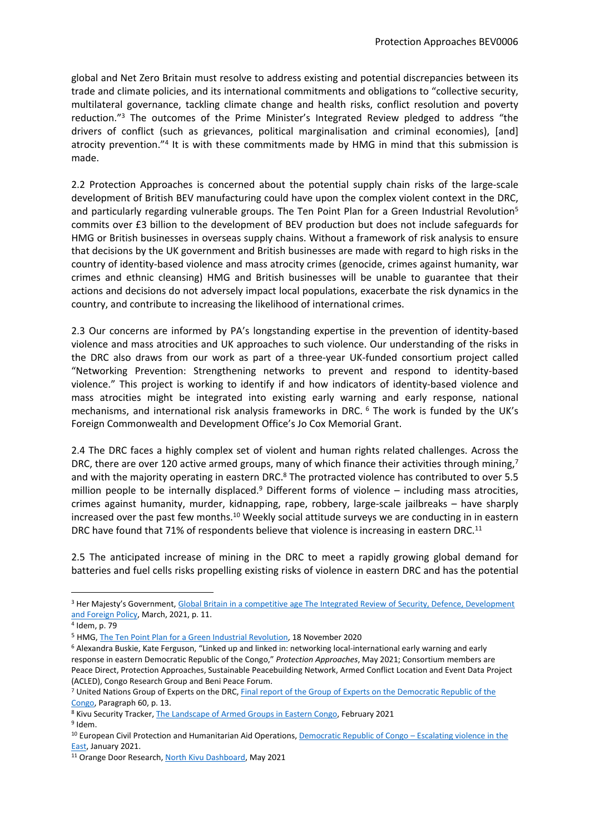global and Net Zero Britain must resolve to address existing and potential discrepancies between its trade and climate policies, and its international commitments and obligations to "collective security, multilateral governance, tackling climate change and health risks, conflict resolution and poverty reduction."<sup>3</sup> The outcomes of the Prime Minister's Integrated Review pledged to address "the drivers of conflict (such as grievances, political marginalisation and criminal economies), [and] atrocity prevention."<sup>4</sup> It is with these commitments made by HMG in mind that this submission is made.

2.2 Protection Approaches is concerned about the potential supply chain risks of the large-scale development of British BEV manufacturing could have upon the complex violent context in the DRC, and particularly regarding vulnerable groups. The Ten Point Plan for a Green Industrial Revolution<sup>5</sup> commits over £3 billion to the development of BEV production but does not include safeguards for HMG or British businesses in overseas supply chains. Without a framework of risk analysis to ensure that decisions by the UK government and British businesses are made with regard to high risks in the country of identity-based violence and mass atrocity crimes (genocide, crimes against humanity, war crimes and ethnic cleansing) HMG and British businesses will be unable to guarantee that their actions and decisions do not adversely impact local populations, exacerbate the risk dynamics in the country, and contribute to increasing the likelihood of international crimes.

2.3 Our concerns are informed by PA's longstanding expertise in the prevention of identity-based violence and mass atrocities and UK approaches to such violence. Our understanding of the risks in the DRC also draws from our work as part of a three-year UK-funded consortium project called "Networking Prevention: Strengthening networks to prevent and respond to identity-based violence." This project is working to identify if and how indicators of identity-based violence and mass atrocities might be integrated into existing early warning and early response, national mechanisms, and international risk analysis frameworks in DRC. <sup>6</sup> The work is funded by the UK's Foreign Commonwealth and Development Office's Jo Cox Memorial Grant.

2.4 The DRC faces a highly complex set of violent and human rights related challenges. Across the DRC, there are over 120 active armed groups, many of which finance their activities through mining,<sup>7</sup> and with the majority operating in eastern DRC.<sup>8</sup> The protracted violence has contributed to over 5.5 million people to be internally displaced.<sup>9</sup> Different forms of violence  $-$  including mass atrocities, crimes against humanity, murder, kidnapping, rape, robbery, large-scale jailbreaks – have sharply increased over the past few months.<sup>10</sup> Weekly social attitude surveys we are conducting in in eastern DRC have found that 71% of respondents believe that violence is increasing in eastern DRC.<sup>11</sup>

2.5 The anticipated increase of mining in the DRC to meet a rapidly growing global demand for batteries and fuel cells risks propelling existing risks of violence in eastern DRC and has the potential

<sup>&</sup>lt;sup>3</sup> Her Majesty's Government, [Global](https://assets.publishing.service.gov.uk/government/uploads/system/uploads/attachment_data/file/969402/The_Integrated_Review_of_Security__Defence__Development_and_Foreign_Policy.pdf) [Britain](https://assets.publishing.service.gov.uk/government/uploads/system/uploads/attachment_data/file/969402/The_Integrated_Review_of_Security__Defence__Development_and_Foreign_Policy.pdf) [in](https://assets.publishing.service.gov.uk/government/uploads/system/uploads/attachment_data/file/969402/The_Integrated_Review_of_Security__Defence__Development_and_Foreign_Policy.pdf) [a](https://assets.publishing.service.gov.uk/government/uploads/system/uploads/attachment_data/file/969402/The_Integrated_Review_of_Security__Defence__Development_and_Foreign_Policy.pdf) [competitive](https://assets.publishing.service.gov.uk/government/uploads/system/uploads/attachment_data/file/969402/The_Integrated_Review_of_Security__Defence__Development_and_Foreign_Policy.pdf) [age](https://assets.publishing.service.gov.uk/government/uploads/system/uploads/attachment_data/file/969402/The_Integrated_Review_of_Security__Defence__Development_and_Foreign_Policy.pdf) [The](https://assets.publishing.service.gov.uk/government/uploads/system/uploads/attachment_data/file/969402/The_Integrated_Review_of_Security__Defence__Development_and_Foreign_Policy.pdf) [Integrated](https://assets.publishing.service.gov.uk/government/uploads/system/uploads/attachment_data/file/969402/The_Integrated_Review_of_Security__Defence__Development_and_Foreign_Policy.pdf) [Review](https://assets.publishing.service.gov.uk/government/uploads/system/uploads/attachment_data/file/969402/The_Integrated_Review_of_Security__Defence__Development_and_Foreign_Policy.pdf) [of](https://assets.publishing.service.gov.uk/government/uploads/system/uploads/attachment_data/file/969402/The_Integrated_Review_of_Security__Defence__Development_and_Foreign_Policy.pdf) [Security,](https://assets.publishing.service.gov.uk/government/uploads/system/uploads/attachment_data/file/969402/The_Integrated_Review_of_Security__Defence__Development_and_Foreign_Policy.pdf) [Defence,](https://assets.publishing.service.gov.uk/government/uploads/system/uploads/attachment_data/file/969402/The_Integrated_Review_of_Security__Defence__Development_and_Foreign_Policy.pdf) [Development](https://assets.publishing.service.gov.uk/government/uploads/system/uploads/attachment_data/file/969402/The_Integrated_Review_of_Security__Defence__Development_and_Foreign_Policy.pdf) [and](https://assets.publishing.service.gov.uk/government/uploads/system/uploads/attachment_data/file/969402/The_Integrated_Review_of_Security__Defence__Development_and_Foreign_Policy.pdf) [Foreign](https://assets.publishing.service.gov.uk/government/uploads/system/uploads/attachment_data/file/969402/The_Integrated_Review_of_Security__Defence__Development_and_Foreign_Policy.pdf) [Policy,](https://assets.publishing.service.gov.uk/government/uploads/system/uploads/attachment_data/file/969402/The_Integrated_Review_of_Security__Defence__Development_and_Foreign_Policy.pdf) March, 2021, p. 11.

<sup>4</sup> Idem, p. 79

<sup>5</sup> HMG, [The](https://assets.publishing.service.gov.uk/government/uploads/system/uploads/attachment_data/file/936567/10_POINT_PLAN_BOOKLET.pdf) [Ten](https://assets.publishing.service.gov.uk/government/uploads/system/uploads/attachment_data/file/936567/10_POINT_PLAN_BOOKLET.pdf) [Point](https://assets.publishing.service.gov.uk/government/uploads/system/uploads/attachment_data/file/936567/10_POINT_PLAN_BOOKLET.pdf) [Plan](https://assets.publishing.service.gov.uk/government/uploads/system/uploads/attachment_data/file/936567/10_POINT_PLAN_BOOKLET.pdf) [for](https://assets.publishing.service.gov.uk/government/uploads/system/uploads/attachment_data/file/936567/10_POINT_PLAN_BOOKLET.pdf) [a](https://assets.publishing.service.gov.uk/government/uploads/system/uploads/attachment_data/file/936567/10_POINT_PLAN_BOOKLET.pdf) [Green](https://assets.publishing.service.gov.uk/government/uploads/system/uploads/attachment_data/file/936567/10_POINT_PLAN_BOOKLET.pdf) [Industrial](https://assets.publishing.service.gov.uk/government/uploads/system/uploads/attachment_data/file/936567/10_POINT_PLAN_BOOKLET.pdf) [Revolution,](https://assets.publishing.service.gov.uk/government/uploads/system/uploads/attachment_data/file/936567/10_POINT_PLAN_BOOKLET.pdf) 18 November 2020

<sup>6</sup> Alexandra Buskie, Kate Ferguson, "Linked up and linked in: networking local-international early warning and early response in eastern Democratic Republic of the Congo," *Protection Approaches*, May 2021; Consortium members are Peace Direct, Protection Approaches, Sustainable Peacebuilding Network, Armed Conflict Location and Event Data Project (ACLED), Congo Research Group and Beni Peace Forum.

<sup>7</sup> United Nations Group of Experts on the DRC, [Final](http://www.undocs.org/S/2020/482) [report](http://www.undocs.org/S/2020/482) [of](http://www.undocs.org/S/2020/482) [the](http://www.undocs.org/S/2020/482) [Group](http://www.undocs.org/S/2020/482) [of](http://www.undocs.org/S/2020/482) [Experts](http://www.undocs.org/S/2020/482) [on](http://www.undocs.org/S/2020/482) [the](http://www.undocs.org/S/2020/482) [Democratic](http://www.undocs.org/S/2020/482) [Republic](http://www.undocs.org/S/2020/482) [of](http://www.undocs.org/S/2020/482) [the](http://www.undocs.org/S/2020/482) [Congo](http://www.undocs.org/S/2020/482), Paragraph 60, p. 13.

<sup>8</sup> Kivu Security Tracker, [The](https://kivusecurity.nyc3.digitaloceanspaces.com/reports/39/2021%20KST%20report%20EN.pdf) [Landscape](https://kivusecurity.nyc3.digitaloceanspaces.com/reports/39/2021%20KST%20report%20EN.pdf) [of](https://kivusecurity.nyc3.digitaloceanspaces.com/reports/39/2021%20KST%20report%20EN.pdf) [Armed](https://kivusecurity.nyc3.digitaloceanspaces.com/reports/39/2021%20KST%20report%20EN.pdf) [Groups](https://kivusecurity.nyc3.digitaloceanspaces.com/reports/39/2021%20KST%20report%20EN.pdf) [in](https://kivusecurity.nyc3.digitaloceanspaces.com/reports/39/2021%20KST%20report%20EN.pdf) [Eastern](https://kivusecurity.nyc3.digitaloceanspaces.com/reports/39/2021%20KST%20report%20EN.pdf) [Congo](https://kivusecurity.nyc3.digitaloceanspaces.com/reports/39/2021%20KST%20report%20EN.pdf), February 2021 <sup>9</sup> Idem.

<sup>&</sup>lt;sup>10</sup> European Civil Protection and Humanitarian Aid Operations, [Democratic](https://erccportal.jrc.ec.europa.eu/Echo-Flash#/daily-flash-archive/4095) [Republic](https://erccportal.jrc.ec.europa.eu/Echo-Flash#/daily-flash-archive/4095) [of](https://erccportal.jrc.ec.europa.eu/Echo-Flash#/daily-flash-archive/4095) [Congo](https://erccportal.jrc.ec.europa.eu/Echo-Flash#/daily-flash-archive/4095) [–](https://erccportal.jrc.ec.europa.eu/Echo-Flash#/daily-flash-archive/4095) [Escalating](https://erccportal.jrc.ec.europa.eu/Echo-Flash#/daily-flash-archive/4095) [violence](https://erccportal.jrc.ec.europa.eu/Echo-Flash#/daily-flash-archive/4095) [in](https://erccportal.jrc.ec.europa.eu/Echo-Flash#/daily-flash-archive/4095) [the](https://erccportal.jrc.ec.europa.eu/Echo-Flash#/daily-flash-archive/4095) [East](https://erccportal.jrc.ec.europa.eu/Echo-Flash#/daily-flash-archive/4095), January 2021.

<sup>&</sup>lt;sup>11</sup> Orange Door Research, [North](https://www.orangedoorresearch.com/wpf/kivu) [Kivu](https://www.orangedoorresearch.com/wpf/kivu) [Dashboard,](https://www.orangedoorresearch.com/wpf/kivu) May 2021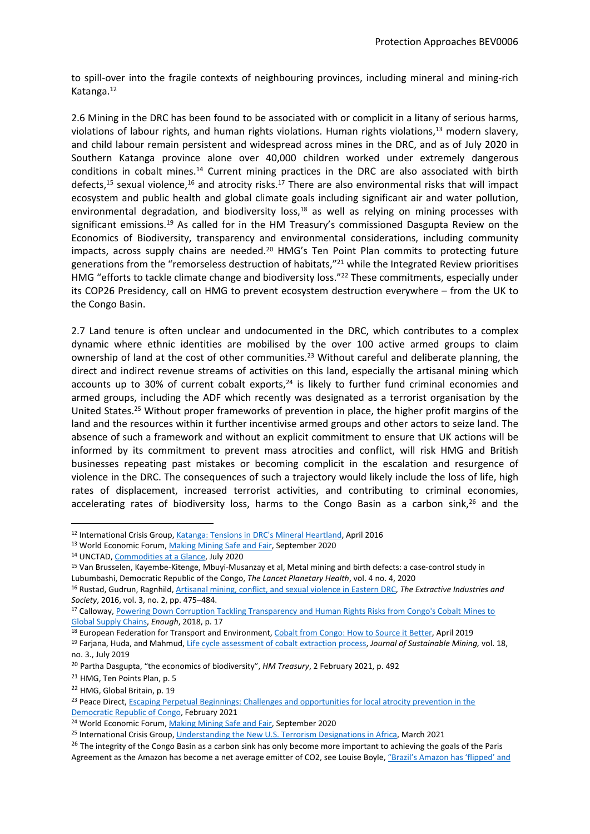to spill-over into the fragile contexts of neighbouring provinces, including mineral and mining-rich Katanga.<sup>12</sup>

2.6 Mining in the DRC has been found to be associated with or complicit in a litany of serious harms, violations of labour rights, and human rights violations. Human rights violations,<sup>13</sup> modern slavery, and child labour remain persistent and widespread across mines in the DRC, and as of July 2020 in Southern Katanga province alone over 40,000 children worked under extremely dangerous conditions in cobalt mines.<sup>14</sup> Current mining practices in the DRC are also associated with birth defects,<sup>15</sup> sexual violence,<sup>16</sup> and atrocity risks.<sup>17</sup> There are also environmental risks that will impact ecosystem and public health and global climate goals including significant air and water pollution, environmental degradation, and biodiversity loss, $18$  as well as relying on mining processes with significant emissions.<sup>19</sup> As called for in the HM Treasury's commissioned Dasgupta Review on the Economics of Biodiversity, transparency and environmental considerations, including community impacts, across supply chains are needed.<sup>20</sup> HMG's Ten Point Plan commits to protecting future generations from the "remorseless destruction of habitats,"<sup>21</sup> while the Integrated Review prioritises HMG "efforts to tackle climate change and biodiversity loss."<sup>22</sup> These commitments, especially under its COP26 Presidency, call on HMG to prevent ecosystem destruction everywhere – from the UK to the Congo Basin.

2.7 Land tenure is often unclear and undocumented in the DRC, which contributes to a complex dynamic where ethnic identities are mobilised by the over 100 active armed groups to claim ownership of land at the cost of other communities.<sup>23</sup> Without careful and deliberate planning, the direct and indirect revenue streams of activities on this land, especially the artisanal mining which accounts up to 30% of current cobalt exports,<sup>24</sup> is likely to further fund criminal economies and armed groups, including the ADF which recently was designated as a terrorist organisation by the United States.<sup>25</sup> Without proper frameworks of prevention in place, the higher profit margins of the land and the resources within it further incentivise armed groups and other actors to seize land. The absence of such a framework and without an explicit commitment to ensure that UK actions will be informed by its commitment to prevent mass atrocities and conflict, will risk HMG and British businesses repeating past mistakes or becoming complicit in the escalation and resurgence of violence in the DRC. The consequences of such a trajectory would likely include the loss of life, high rates of displacement, increased terrorist activities, and contributing to criminal economies, accelerating rates of biodiversity loss, harms to the Congo Basin as a carbon sink, $26$  and the

<sup>12</sup> International Crisis Group, [Katanga:](https://www.crisisgroup.org/africa/central-africa/democratic-republic-congo/katanga-tensions-drcs-mineral-heartland) [Tensions](https://www.crisisgroup.org/africa/central-africa/democratic-republic-congo/katanga-tensions-drcs-mineral-heartland) [in](https://www.crisisgroup.org/africa/central-africa/democratic-republic-congo/katanga-tensions-drcs-mineral-heartland) [DRC's](https://www.crisisgroup.org/africa/central-africa/democratic-republic-congo/katanga-tensions-drcs-mineral-heartland) [Mineral](https://www.crisisgroup.org/africa/central-africa/democratic-republic-congo/katanga-tensions-drcs-mineral-heartland) [Heartland,](https://www.crisisgroup.org/africa/central-africa/democratic-republic-congo/katanga-tensions-drcs-mineral-heartland) April 2016

<sup>&</sup>lt;sup>13</sup> World Economic Forum, [Making](http://www3.weforum.org/docs/WEF_Making_Mining_Safe_2020.pdf) [Mining](http://www3.weforum.org/docs/WEF_Making_Mining_Safe_2020.pdf) [Safe](http://www3.weforum.org/docs/WEF_Making_Mining_Safe_2020.pdf) [and](http://www3.weforum.org/docs/WEF_Making_Mining_Safe_2020.pdf) [Fair](http://www3.weforum.org/docs/WEF_Making_Mining_Safe_2020.pdf), September 2020

<sup>14</sup> UNCTAD, [Commodities](https://unctad.org/system/files/official-document/ditccom2019d5_en.pdf) [at](https://unctad.org/system/files/official-document/ditccom2019d5_en.pdf) [a](https://unctad.org/system/files/official-document/ditccom2019d5_en.pdf) [Glance](https://unctad.org/system/files/official-document/ditccom2019d5_en.pdf), July 2020

<sup>15</sup> Van Brusselen, Kayembe-Kitenge, Mbuyi-Musanzay et al, Metal mining and birth defects: a case-control study in Lubumbashi, Democratic Republic of the Congo, *The Lancet Planetary Health*, vol. 4 no. 4, 2020

<sup>16</sup> Rustad, Gudrun, Ragnhild, [Artisanal](https://www.sciencedirect.com/science/article/abs/pii/S2214790X16300107) [mining,](https://www.sciencedirect.com/science/article/abs/pii/S2214790X16300107) [conflict,](https://www.sciencedirect.com/science/article/abs/pii/S2214790X16300107) [and](https://www.sciencedirect.com/science/article/abs/pii/S2214790X16300107) [sexual](https://www.sciencedirect.com/science/article/abs/pii/S2214790X16300107) [violence](https://www.sciencedirect.com/science/article/abs/pii/S2214790X16300107) [in](https://www.sciencedirect.com/science/article/abs/pii/S2214790X16300107) [Eastern](https://www.sciencedirect.com/science/article/abs/pii/S2214790X16300107) [DRC,](https://www.sciencedirect.com/science/article/abs/pii/S2214790X16300107) *The Extractive Industries and Society*, 2016, vol. 3, no. 2, pp. 475–484.

<sup>17</sup> Calloway, [Powering](https://enoughproject.org/wp-content/uploads/PoweringDownCorruption_Enough_Oct2018-web.pdf) [Down](https://enoughproject.org/wp-content/uploads/PoweringDownCorruption_Enough_Oct2018-web.pdf) [Corruption](https://enoughproject.org/wp-content/uploads/PoweringDownCorruption_Enough_Oct2018-web.pdf) [Tackling](https://enoughproject.org/wp-content/uploads/PoweringDownCorruption_Enough_Oct2018-web.pdf) [Transparency](https://enoughproject.org/wp-content/uploads/PoweringDownCorruption_Enough_Oct2018-web.pdf) [and](https://enoughproject.org/wp-content/uploads/PoweringDownCorruption_Enough_Oct2018-web.pdf) [Human](https://enoughproject.org/wp-content/uploads/PoweringDownCorruption_Enough_Oct2018-web.pdf) [Rights](https://enoughproject.org/wp-content/uploads/PoweringDownCorruption_Enough_Oct2018-web.pdf) [Risks](https://enoughproject.org/wp-content/uploads/PoweringDownCorruption_Enough_Oct2018-web.pdf) [from](https://enoughproject.org/wp-content/uploads/PoweringDownCorruption_Enough_Oct2018-web.pdf) [Congo's](https://enoughproject.org/wp-content/uploads/PoweringDownCorruption_Enough_Oct2018-web.pdf) [Cobalt](https://enoughproject.org/wp-content/uploads/PoweringDownCorruption_Enough_Oct2018-web.pdf) [Mines](https://enoughproject.org/wp-content/uploads/PoweringDownCorruption_Enough_Oct2018-web.pdf) [to](https://enoughproject.org/wp-content/uploads/PoweringDownCorruption_Enough_Oct2018-web.pdf) [Global](https://enoughproject.org/wp-content/uploads/PoweringDownCorruption_Enough_Oct2018-web.pdf) [Supply](https://enoughproject.org/wp-content/uploads/PoweringDownCorruption_Enough_Oct2018-web.pdf) [Chains](https://enoughproject.org/wp-content/uploads/PoweringDownCorruption_Enough_Oct2018-web.pdf), *Enough*, 2018, p. 17

<sup>&</sup>lt;sup>18</sup> European Federation for Transport and Environment, [Cobalt](https://www.transportenvironment.org/sites/te/files/publications/Cobalt%20from%20Congo_how%20to%20source%20it%20better_Final.pdf) [from](https://www.transportenvironment.org/sites/te/files/publications/Cobalt%20from%20Congo_how%20to%20source%20it%20better_Final.pdf) [Congo:](https://www.transportenvironment.org/sites/te/files/publications/Cobalt%20from%20Congo_how%20to%20source%20it%20better_Final.pdf) [How](https://www.transportenvironment.org/sites/te/files/publications/Cobalt%20from%20Congo_how%20to%20source%20it%20better_Final.pdf) [to](https://www.transportenvironment.org/sites/te/files/publications/Cobalt%20from%20Congo_how%20to%20source%20it%20better_Final.pdf) [Source](https://www.transportenvironment.org/sites/te/files/publications/Cobalt%20from%20Congo_how%20to%20source%20it%20better_Final.pdf) [it](https://www.transportenvironment.org/sites/te/files/publications/Cobalt%20from%20Congo_how%20to%20source%20it%20better_Final.pdf) [Better](https://www.transportenvironment.org/sites/te/files/publications/Cobalt%20from%20Congo_how%20to%20source%20it%20better_Final.pdf), April 2019

<sup>19</sup> Farjana, Huda, and Mahmud, [Life](https://www.sciencedirect.com/science/article/pii/S2300396018301836#!) [cycle](https://www.sciencedirect.com/science/article/pii/S2300396018301836#!) [assessment](https://www.sciencedirect.com/science/article/pii/S2300396018301836#!) [of](https://www.sciencedirect.com/science/article/pii/S2300396018301836#!) [cobalt](https://www.sciencedirect.com/science/article/pii/S2300396018301836#!) [extraction](https://www.sciencedirect.com/science/article/pii/S2300396018301836#!) [process,](https://www.sciencedirect.com/science/article/pii/S2300396018301836#!) *Journal of Sustainable Mining,* vol. 18, no. 3., July 2019

<sup>20</sup> Partha Dasgupta, "the economics of biodiversity", *HM Treasury*, 2 February 2021, p. 492

<sup>21</sup> HMG, Ten Points Plan, p. 5

<sup>22</sup> HMG, Global Britain, p. 19

<sup>&</sup>lt;sup>23</sup> Peace Direct, [Escaping](https://www.peacedirect.org/wp-content/uploads/2021/02/Escaping-Perpetual-Beginnings.pdf) [Perpetual](https://www.peacedirect.org/wp-content/uploads/2021/02/Escaping-Perpetual-Beginnings.pdf) [Beginnings:](https://www.peacedirect.org/wp-content/uploads/2021/02/Escaping-Perpetual-Beginnings.pdf) [Challenges](https://www.peacedirect.org/wp-content/uploads/2021/02/Escaping-Perpetual-Beginnings.pdf) [and](https://www.peacedirect.org/wp-content/uploads/2021/02/Escaping-Perpetual-Beginnings.pdf) [opportunities](https://www.peacedirect.org/wp-content/uploads/2021/02/Escaping-Perpetual-Beginnings.pdf) [for](https://www.peacedirect.org/wp-content/uploads/2021/02/Escaping-Perpetual-Beginnings.pdf) [local](https://www.peacedirect.org/wp-content/uploads/2021/02/Escaping-Perpetual-Beginnings.pdf) [atrocity](https://www.peacedirect.org/wp-content/uploads/2021/02/Escaping-Perpetual-Beginnings.pdf) [prevention](https://www.peacedirect.org/wp-content/uploads/2021/02/Escaping-Perpetual-Beginnings.pdf) [in](https://www.peacedirect.org/wp-content/uploads/2021/02/Escaping-Perpetual-Beginnings.pdf) [the](https://www.peacedirect.org/wp-content/uploads/2021/02/Escaping-Perpetual-Beginnings.pdf) [Democratic](https://www.peacedirect.org/wp-content/uploads/2021/02/Escaping-Perpetual-Beginnings.pdf) [Republic](https://www.peacedirect.org/wp-content/uploads/2021/02/Escaping-Perpetual-Beginnings.pdf) [of](https://www.peacedirect.org/wp-content/uploads/2021/02/Escaping-Perpetual-Beginnings.pdf) [Congo](https://www.peacedirect.org/wp-content/uploads/2021/02/Escaping-Perpetual-Beginnings.pdf), February 2021

<sup>&</sup>lt;sup>24</sup> World Economic Forum, [Making](http://www3.weforum.org/docs/WEF_Making_Mining_Safe_2020.pdf) [Mining](http://www3.weforum.org/docs/WEF_Making_Mining_Safe_2020.pdf) [Safe](http://www3.weforum.org/docs/WEF_Making_Mining_Safe_2020.pdf) [and](http://www3.weforum.org/docs/WEF_Making_Mining_Safe_2020.pdf) [Fair](http://www3.weforum.org/docs/WEF_Making_Mining_Safe_2020.pdf), September 2020

<sup>&</sup>lt;sup>25</sup> International Crisis Group, [Understanding](https://www.crisisgroup.org/africa/understanding-new-us-terrorism-designations-africa) [the](https://www.crisisgroup.org/africa/understanding-new-us-terrorism-designations-africa) [New](https://www.crisisgroup.org/africa/understanding-new-us-terrorism-designations-africa) [U.S.](https://www.crisisgroup.org/africa/understanding-new-us-terrorism-designations-africa) [Terrorism](https://www.crisisgroup.org/africa/understanding-new-us-terrorism-designations-africa) [Designations](https://www.crisisgroup.org/africa/understanding-new-us-terrorism-designations-africa) [in](https://www.crisisgroup.org/africa/understanding-new-us-terrorism-designations-africa) [Africa,](https://www.crisisgroup.org/africa/understanding-new-us-terrorism-designations-africa) March 2021

<sup>&</sup>lt;sup>26</sup> The integrity of the Congo Basin as a carbon sink has only become more important to achieving the goals of the Paris Agreement as the Amazon has become a net average emitter of CO2, see Louise Boyle, ["Brazil's](https://www.independent.co.uk/climate-change/amazon-carbon-emissions-bolsonaro-b1841415.html?utm_source=Sailthru&utm_medium=email&utm_campaign=IND_Climate%202021-05-07&utm_term=IND_Climate_Newsletter) [Amazon](https://www.independent.co.uk/climate-change/amazon-carbon-emissions-bolsonaro-b1841415.html?utm_source=Sailthru&utm_medium=email&utm_campaign=IND_Climate%202021-05-07&utm_term=IND_Climate_Newsletter) [has](https://www.independent.co.uk/climate-change/amazon-carbon-emissions-bolsonaro-b1841415.html?utm_source=Sailthru&utm_medium=email&utm_campaign=IND_Climate%202021-05-07&utm_term=IND_Climate_Newsletter) ['flipped'](https://www.independent.co.uk/climate-change/amazon-carbon-emissions-bolsonaro-b1841415.html?utm_source=Sailthru&utm_medium=email&utm_campaign=IND_Climate%202021-05-07&utm_term=IND_Climate_Newsletter) [and](https://www.independent.co.uk/climate-change/amazon-carbon-emissions-bolsonaro-b1841415.html?utm_source=Sailthru&utm_medium=email&utm_campaign=IND_Climate%202021-05-07&utm_term=IND_Climate_Newsletter)